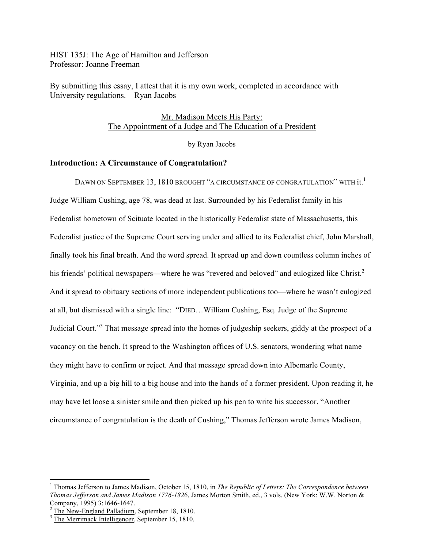HIST 135J: The Age of Hamilton and Jefferson Professor: Joanne Freeman

By submitting this essay, I attest that it is my own work, completed in accordance with University regulations.—Ryan Jacobs

> Mr. Madison Meets His Party: The Appointment of a Judge and The Education of a President

> > by Ryan Jacobs

### **Introduction: A Circumstance of Congratulation?**

Dawn on September 13, 1810 brought "a circumstance of congratulation" with  $\rm it.^1$ Judge William Cushing, age 78, was dead at last. Surrounded by his Federalist family in his Federalist hometown of Scituate located in the historically Federalist state of Massachusetts, this Federalist justice of the Supreme Court serving under and allied to its Federalist chief, John Marshall, finally took his final breath. And the word spread. It spread up and down countless column inches of his friends' political newspapers—where he was "revered and beloved" and eulogized like Christ.<sup>2</sup> And it spread to obituary sections of more independent publications too—where he wasn't eulogized at all, but dismissed with a single line: "DIED…William Cushing, Esq. Judge of the Supreme Judicial Court."<sup>3</sup> That message spread into the homes of judgeship seekers, giddy at the prospect of a vacancy on the bench. It spread to the Washington offices of U.S. senators, wondering what name they might have to confirm or reject. And that message spread down into Albemarle County, Virginia, and up a big hill to a big house and into the hands of a former president. Upon reading it, he may have let loose a sinister smile and then picked up his pen to write his successor. "Another circumstance of congratulation is the death of Cushing," Thomas Jefferson wrote James Madison,

<sup>&</sup>lt;sup>1</sup> Thomas Jefferson to James Madison, October 15, 1810, in *The Republic of Letters: The Correspondence between Thomas Jefferson and James Madison 1776-182*6, James Morton Smith, ed., 3 vols. (New York: W.W. Norton &

 $\frac{2}{3}$ The New-England Palladium, September 18, 1810.  $\frac{2}{3}$ The Merrimack Intelligencer, September 15, 1810.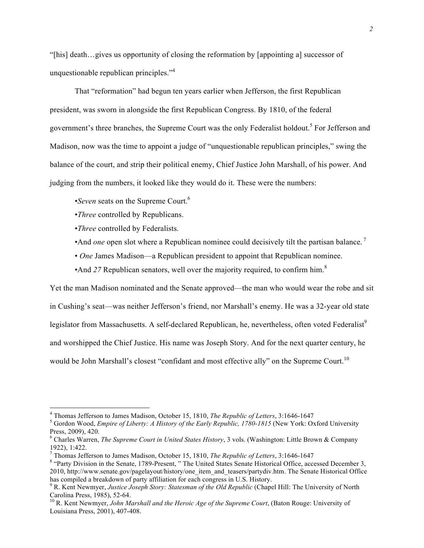"[his] death…gives us opportunity of closing the reformation by [appointing a] successor of unquestionable republican principles." 4

That "reformation" had begun ten years earlier when Jefferson, the first Republican president, was sworn in alongside the first Republican Congress. By 1810, of the federal government's three branches, the Supreme Court was the only Federalist holdout.<sup>5</sup> For Jefferson and Madison, now was the time to appoint a judge of "unquestionable republican principles," swing the balance of the court, and strip their political enemy, Chief Justice John Marshall, of his power. And judging from the numbers, it looked like they would do it. These were the numbers:

•*Seven* seats on the Supreme Court.<sup>6</sup>

- •*Three* controlled by Republicans.
- •*Three* controlled by Federalists.
- And *one* open slot where a Republican nominee could decisively tilt the partisan balance.<sup>7</sup>
- *One* James Madison—a Republican president to appoint that Republican nominee.
- •And 27 Republican senators, well over the majority required, to confirm him.<sup>8</sup>

Yet the man Madison nominated and the Senate approved—the man who would wear the robe and sit

in Cushing's seat—was neither Jefferson's friend, nor Marshall's enemy. He was a 32-year old state

legislator from Massachusetts. A self-declared Republican, he, nevertheless, often voted Federalist<sup>9</sup>

and worshipped the Chief Justice. His name was Joseph Story. And for the next quarter century, he

would be John Marshall's closest "confidant and most effective ally" on the Supreme Court.<sup>10</sup>

<sup>&</sup>lt;sup>4</sup> Thomas Jefferson to James Madison, October 15, 1810, *The Republic of Letters*, 3:1646-1647<br><sup>5</sup> Gordon Wood, *Empire of Liberty: A History of the Early Republic, 1780-1815* (New York: Oxford University Press, 2009), 420.

<sup>6</sup> Charles Warren, *The Supreme Court in United States History*, 3 vols. (Washington: Little Brown & Company 1922), 1:422.<br><sup>7</sup> Thomas Jefferson to James Madison, October 15, 1810, *The Republic of Letters*, 3:1646-1647

<sup>&</sup>lt;sup>7</sup> Thomas Jefferson to James Madison, October 15, 1810, *The Republic of Letters*, 3:1646-1647<br><sup>8</sup> "Party Division in the Senate, 1789-Present, " The United States Senate Historical Office, accessed December 3, 2010, http://www.senate.gov/pagelayout/history/one\_item\_and\_teasers/partydiv.htm. The Senate Historical Office

has compiled a breakdown of party affiliation for each congress in U.S. History.<br><sup>9</sup> R. Kent Newmyer, *Justice Joseph Story: Statesman of the Old Republic* (Chapel Hill: The University of North Carolina Press, 1985), 52-64

<sup>&</sup>lt;sup>10</sup> R. Kent Newmyer, *John Marshall and the Heroic Age of the Supreme Court*, (Baton Rouge: University of Louisiana Press, 2001), 407-408.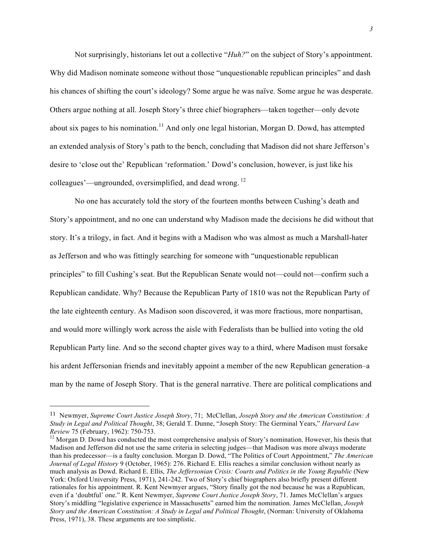Not surprisingly, historians let out a collective "*Huh?*" on the subject of Story's appointment. Why did Madison nominate someone without those "unquestionable republican principles" and dash his chances of shifting the court's ideology? Some argue he was naïve. Some argue he was desperate. Others argue nothing at all. Joseph Story's three chief biographers—taken together—only devote about six pages to his nomination.<sup>11</sup> And only one legal historian, Morgan D. Dowd, has attempted an extended analysis of Story's path to the bench, concluding that Madison did not share Jefferson's desire to 'close out the' Republican 'reformation.' Dowd's conclusion, however, is just like his colleagues'—ungrounded, oversimplified, and dead wrong. <sup>12</sup>

No one has accurately told the story of the fourteen months between Cushing's death and Story's appointment, and no one can understand why Madison made the decisions he did without that story. It's a trilogy, in fact. And it begins with a Madison who was almost as much a Marshall-hater as Jefferson and who was fittingly searching for someone with "unquestionable republican principles" to fill Cushing's seat. But the Republican Senate would not—could not—confirm such a Republican candidate. Why? Because the Republican Party of 1810 was not the Republican Party of the late eighteenth century. As Madison soon discovered, it was more fractious, more nonpartisan, and would more willingly work across the aisle with Federalists than be bullied into voting the old Republican Party line. And so the second chapter gives way to a third, where Madison must forsake his ardent Jeffersonian friends and inevitably appoint a member of the new Republican generation–a man by the name of Joseph Story. That is the general narrative. There are political complications and

 

<sup>11</sup> Newmyer, *Supreme Court Justice Joseph Story*, 71; McClellan, *Joseph Story and the American Constitution: A Study in Legal and Political Thought*, 38; Gerald T. Dunne, "Joseph Story: The Germinal Years," *Harvard Law Review* 75 (February, 1962): 750-753.<br><sup>12</sup> Morgan D. Dowd has conducted the most comprehensive analysis of Story's nomination. However, his thesis that

Madison and Jefferson did not use the same criteria in selecting judges—that Madison was more always moderate than his predecessor—is a faulty conclusion. Morgan D. Dowd, "The Politics of Court Appointment," *The American Journal of Legal History* 9 (October, 1965): 276. Richard E. Ellis reaches a similar conclusion without nearly as much analysis as Dowd. Richard E. Ellis, *The Jeffersonian Crisis: Courts and Politics in the Young Republic* (New York: Oxford University Press, 1971), 241-242. Two of Story's chief biographers also briefly present different rationales for his appointment. R. Kent Newmyer argues, "Story finally got the nod because he was a Republican, even if a 'doubtful' one." R. Kent Newmyer, *Supreme Court Justice Joseph Story*, 71. James McClellan's argues Story's middling "legislative experience in Massachusetts" earned him the nomination. James McClellan, *Joseph Story and the American Constitution: A Study in Legal and Political Thought*, (Norman: University of Oklahoma Press, 1971), 38. These arguments are too simplistic.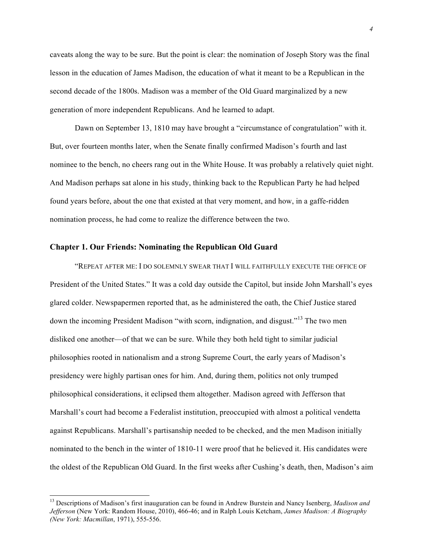caveats along the way to be sure. But the point is clear: the nomination of Joseph Story was the final lesson in the education of James Madison, the education of what it meant to be a Republican in the second decade of the 1800s. Madison was a member of the Old Guard marginalized by a new generation of more independent Republicans. And he learned to adapt.

Dawn on September 13, 1810 may have brought a "circumstance of congratulation" with it. But, over fourteen months later, when the Senate finally confirmed Madison's fourth and last nominee to the bench, no cheers rang out in the White House. It was probably a relatively quiet night. And Madison perhaps sat alone in his study, thinking back to the Republican Party he had helped found years before, about the one that existed at that very moment, and how, in a gaffe-ridden nomination process, he had come to realize the difference between the two.

### **Chapter 1. Our Friends: Nominating the Republican Old Guard**

"REPEAT AFTER ME: I DO SOLEMNLY SWEAR THAT I WILL FAITHFULLY EXECUTE THE OFFICE OF President of the United States." It was a cold day outside the Capitol, but inside John Marshall's eyes glared colder. Newspapermen reported that, as he administered the oath, the Chief Justice stared down the incoming President Madison "with scorn, indignation, and disgust."<sup>13</sup> The two men disliked one another—of that we can be sure. While they both held tight to similar judicial philosophies rooted in nationalism and a strong Supreme Court, the early years of Madison's presidency were highly partisan ones for him. And, during them, politics not only trumped philosophical considerations, it eclipsed them altogether. Madison agreed with Jefferson that Marshall's court had become a Federalist institution, preoccupied with almost a political vendetta against Republicans. Marshall's partisanship needed to be checked, and the men Madison initially nominated to the bench in the winter of 1810-11 were proof that he believed it. His candidates were the oldest of the Republican Old Guard. In the first weeks after Cushing's death, then, Madison's aim

 <sup>13</sup> Descriptions of Madison's first inauguration can be found in Andrew Burstein and Nancy Isenberg, *Madison and Jefferson* (New York: Random House, 2010), 466-46; and in Ralph Louis Ketcham, *James Madison: A Biography (New York: Macmillan*, 1971), 555-556.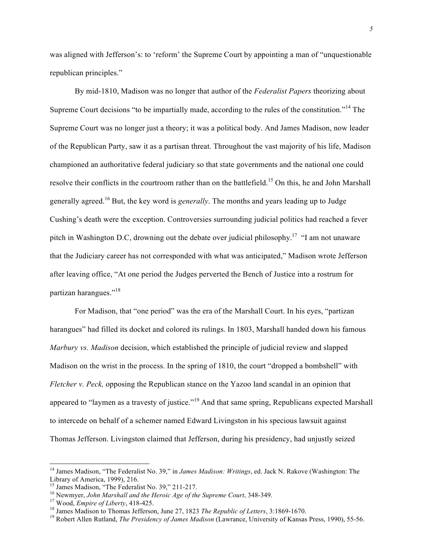was aligned with Jefferson's: to 'reform' the Supreme Court by appointing a man of "unquestionable" republican principles."

By mid-1810, Madison was no longer that author of the *Federalist Papers* theorizing about Supreme Court decisions "to be impartially made, according to the rules of the constitution."<sup>14</sup> The Supreme Court was no longer just a theory; it was a political body. And James Madison, now leader of the Republican Party, saw it as a partisan threat. Throughout the vast majority of his life, Madison championed an authoritative federal judiciary so that state governments and the national one could resolve their conflicts in the courtroom rather than on the battlefield.<sup>15</sup> On this, he and John Marshall generally agreed.<sup>16</sup> But, the key word is *generally*. The months and years leading up to Judge Cushing's death were the exception. Controversies surrounding judicial politics had reached a fever pitch in Washington D.C, drowning out the debate over judicial philosophy.<sup>17</sup> "I am not unaware that the Judiciary career has not corresponded with what was anticipated," Madison wrote Jefferson after leaving office, "At one period the Judges perverted the Bench of Justice into a rostrum for partizan harangues."<sup>18</sup>

For Madison, that "one period" was the era of the Marshall Court. In his eyes, "partizan harangues" had filled its docket and colored its rulings. In 1803, Marshall handed down his famous *Marbury vs. Madison* decision, which established the principle of judicial review and slapped Madison on the wrist in the process. In the spring of 1810, the court "dropped a bombshell" with *Fletcher v. Peck,* opposing the Republican stance on the Yazoo land scandal in an opinion that appeared to "laymen as a travesty of justice."<sup>19</sup> And that same spring, Republicans expected Marshall to intercede on behalf of a schemer named Edward Livingston in his specious lawsuit against Thomas Jefferson. Livingston claimed that Jefferson, during his presidency, had unjustly seized

 <sup>14</sup> James Madison, "The Federalist No. 39," in *James Madison: Writings*, ed. Jack N. Rakove (Washington: The Library of America, 1999), 216.<br><sup>15</sup> James Madison, "The Federalist No. 39." 211-217.

<sup>&</sup>lt;sup>16</sup> Newmyer, *John Marshall and the Heroic Age of the Supreme Court*, 348-349.<br><sup>17</sup> Wood, *Empire of Liberty*, 418-425.<br><sup>18</sup> James Madison to Thomas Jefferson, June 27, 1823 *The Republic of Letters*, 3:1869-1670.<br><sup>19</sup> R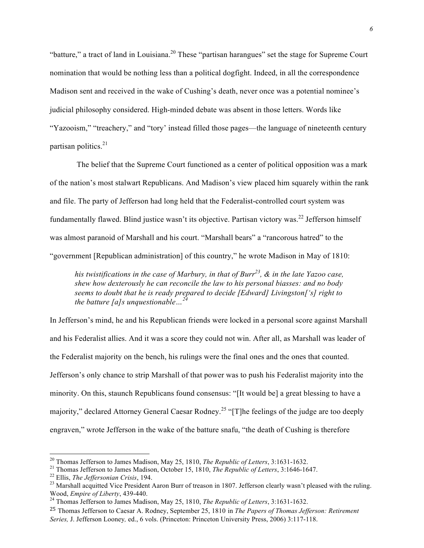"batture," a tract of land in Louisiana.<sup>20</sup> These "partisan harangues" set the stage for Supreme Court nomination that would be nothing less than a political dogfight. Indeed, in all the correspondence Madison sent and received in the wake of Cushing's death, never once was a potential nominee's judicial philosophy considered. High-minded debate was absent in those letters. Words like "Yazooism," "treachery," and "tory' instead filled those pages—the language of nineteenth century partisan politics. 21

The belief that the Supreme Court functioned as a center of political opposition was a mark of the nation's most stalwart Republicans. And Madison's view placed him squarely within the rank and file. The party of Jefferson had long held that the Federalist-controlled court system was fundamentally flawed. Blind justice wasn't its objective. Partisan victory was.<sup>22</sup> Jefferson himself was almost paranoid of Marshall and his court. "Marshall bears" a "rancorous hatred" to the "government [Republican administration] of this country," he wrote Madison in May of 1810:

*his twistifications in the case of Marbury, in that of Burr<sup>23</sup>,*  $\&$  *in the late Yazoo case, shew how dexterously he can reconcile the law to his personal biasses: and no body seems to doubt that he is ready prepared to decide [Edward] Livingston['s] right to the batture [a]s unquestionable…<sup>24</sup>*

In Jefferson's mind, he and his Republican friends were locked in a personal score against Marshall and his Federalist allies. And it was a score they could not win. After all, as Marshall was leader of the Federalist majority on the bench, his rulings were the final ones and the ones that counted. Jefferson's only chance to strip Marshall of that power was to push his Federalist majority into the minority. On this, staunch Republicans found consensus: "[It would be] a great blessing to have a majority," declared Attorney General Caesar Rodney.<sup>25</sup> "[T]he feelings of the judge are too deeply engraven," wrote Jefferson in the wake of the batture snafu, "the death of Cushing is therefore

<sup>&</sup>lt;sup>20</sup> Thomas Jefferson to James Madison, May 25, 1810, *The Republic of Letters*, 3:1631-1632.<br><sup>21</sup> Thomas Jefferson to James Madison, October 15, 1810, *The Republic of Letters*, 3:1646-1647.<br><sup>22</sup> Ellis, *The Jeffersonian* 

<sup>&</sup>lt;sup>24</sup> Thomas Jefferson to James Madison, May 25, 1810, *The Republic of Letters*, 3:1631-1632.

<sup>25</sup> Thomas Jefferson to Caesar A. Rodney, September 25, 1810 in *The Papers of Thomas Jefferson: Retirement Series,* J. Jefferson Looney*,* ed., 6 vols. (Princeton: Princeton University Press, 2006) 3:117-118.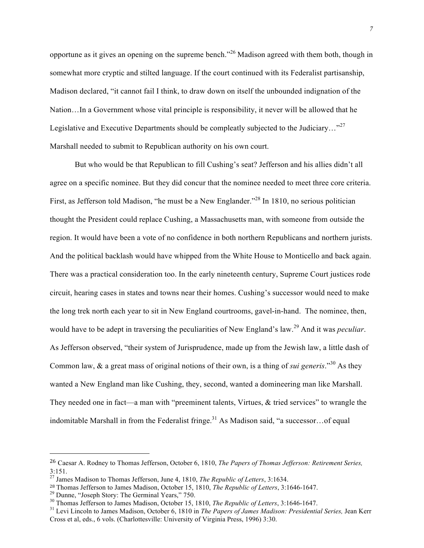opportune as it gives an opening on the supreme bench."<sup>26</sup> Madison agreed with them both, though in somewhat more cryptic and stilted language. If the court continued with its Federalist partisanship, Madison declared, "it cannot fail I think, to draw down on itself the unbounded indignation of the Nation…In a Government whose vital principle is responsibility, it never will be allowed that he Legislative and Executive Departments should be compleatly subjected to the Judiciary..."<sup>27</sup> Marshall needed to submit to Republican authority on his own court.

But who would be that Republican to fill Cushing's seat? Jefferson and his allies didn't all agree on a specific nominee. But they did concur that the nominee needed to meet three core criteria. First, as Jefferson told Madison, "he must be a New Englander."<sup>28</sup> In 1810, no serious politician thought the President could replace Cushing, a Massachusetts man, with someone from outside the region. It would have been a vote of no confidence in both northern Republicans and northern jurists. And the political backlash would have whipped from the White House to Monticello and back again. There was a practical consideration too. In the early nineteenth century, Supreme Court justices rode circuit, hearing cases in states and towns near their homes. Cushing's successor would need to make the long trek north each year to sit in New England courtrooms, gavel-in-hand. The nominee, then, would have to be adept in traversing the peculiarities of New England's law.<sup>29</sup> And it was *peculiar*. As Jefferson observed, "their system of Jurisprudence, made up from the Jewish law, a little dash of Common law, & a great mass of original notions of their own, is a thing of *sui generis*."<sup>30</sup> As they wanted a New England man like Cushing, they, second, wanted a domineering man like Marshall. They needed one in fact—a man with "preeminent talents, Virtues, & tried services" to wrangle the indomitable Marshall in from the Federalist fringe.<sup>31</sup> As Madison said, "a successor...of equal

 

<sup>26</sup> Caesar A. Rodney to Thomas Jefferson, October 6, 1810, *The Papers of Thomas Jefferson: Retirement Series,*  3:151.

<sup>27</sup> James Madison to Thomas Jefferson, June 4, 1810, *The Republic of Letters*, 3:1634.

<sup>&</sup>lt;sup>28</sup> Thomas Jefferson to James Madison, October 15, 1810, *The Republic of Letters*, 3:1646-1647.<br><sup>29</sup> Dunne, "Joseph Story: The Germinal Years," 750.<br><sup>30</sup> Thomas Jefferson to James Madison, October 15, 1810, *The Republi* Cross et al, eds., 6 vols. (Charlottesville: University of Virginia Press, 1996) 3:30.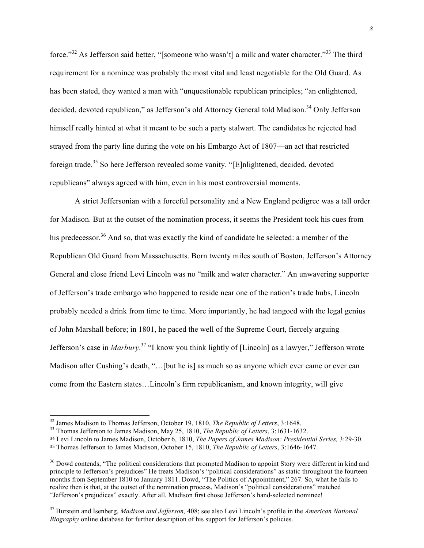force."<sup>32</sup> As Jefferson said better. "[someone who wasn't] a milk and water character."<sup>33</sup> The third requirement for a nominee was probably the most vital and least negotiable for the Old Guard. As has been stated, they wanted a man with "unquestionable republican principles; "an enlightened, decided, devoted republican," as Jefferson's old Attorney General told Madison.<sup>34</sup> Only Jefferson himself really hinted at what it meant to be such a party stalwart. The candidates he rejected had strayed from the party line during the vote on his Embargo Act of 1807—an act that restricted foreign trade.<sup>35</sup> So here Jefferson revealed some vanity. "[E]nlightened, decided, devoted republicans" always agreed with him, even in his most controversial moments.

A strict Jeffersonian with a forceful personality and a New England pedigree was a tall order for Madison. But at the outset of the nomination process, it seems the President took his cues from his predecessor.<sup>36</sup> And so, that was exactly the kind of candidate he selected: a member of the Republican Old Guard from Massachusetts. Born twenty miles south of Boston, Jefferson's Attorney General and close friend Levi Lincoln was no "milk and water character." An unwavering supporter of Jefferson's trade embargo who happened to reside near one of the nation's trade hubs, Lincoln probably needed a drink from time to time. More importantly, he had tangoed with the legal genius of John Marshall before; in 1801, he paced the well of the Supreme Court, fiercely arguing Jefferson's case in *Marbury*. <sup>37</sup> "I know you think lightly of [Lincoln] as a lawyer," Jefferson wrote Madison after Cushing's death, "…[but he is] as much so as anyone which ever came or ever can come from the Eastern states…Lincoln's firm republicanism, and known integrity, will give

<sup>&</sup>lt;sup>32</sup> James Madison to Thomas Jefferson, October 19, 1810, *The Republic of Letters*, 3:1648.<br><sup>33</sup> Thomas Jefferson to James Madison, May 25, 1810, *The Republic of Letters*, 3:1631-1632.

<sup>34</sup> Levi Lincoln to James Madison, October 6, 1810, *The Papers of James Madison: Presidential Series,* 3:29-30.

<sup>35</sup> Thomas Jefferson to James Madison, October 15, 1810, *The Republic of Letters*, 3:1646-1647.

<sup>&</sup>lt;sup>36</sup> Dowd contends, "The political considerations that prompted Madison to appoint Story were different in kind and principle to Jefferson's prejudices" He treats Madison's "political considerations" as static throughout the fourteen months from September 1810 to January 1811. Dowd, "The Politics of Appointment," 267. So, what he fails to realize then is that, at the outset of the nomination process, Madison's "political considerations" matched "Jefferson's prejudices" exactly. After all, Madison first chose Jefferson's hand-selected nominee!

<sup>37</sup> Burstein and Isenberg, *Madison and Jefferson,* 408; see also Levi Lincoln's profile in the *American National Biography* online database for further description of his support for Jefferson's policies.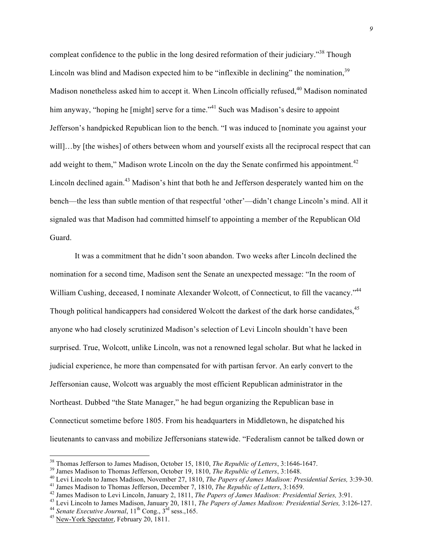compleat confidence to the public in the long desired reformation of their judiciary."<sup>38</sup> Though Lincoln was blind and Madison expected him to be "inflexible in declining" the nomination,  $39$ Madison nonetheless asked him to accept it. When Lincoln officially refused,  $40$  Madison nominated him anyway, "hoping he [might] serve for a time."<sup>41</sup> Such was Madison's desire to appoint Jefferson's handpicked Republican lion to the bench. "I was induced to [nominate you against your will...by [the wishes] of others between whom and yourself exists all the reciprocal respect that can add weight to them," Madison wrote Lincoln on the day the Senate confirmed his appointment.<sup>42</sup> Lincoln declined again.<sup>43</sup> Madison's hint that both he and Jefferson desperately wanted him on the bench—the less than subtle mention of that respectful 'other'—didn't change Lincoln's mind. All it signaled was that Madison had committed himself to appointing a member of the Republican Old Guard.

It was a commitment that he didn't soon abandon. Two weeks after Lincoln declined the nomination for a second time, Madison sent the Senate an unexpected message: "In the room of William Cushing, deceased, I nominate Alexander Wolcott, of Connecticut, to fill the vacancy."<sup>44</sup> Though political handicappers had considered Wolcott the darkest of the dark horse candidates.<sup>45</sup> anyone who had closely scrutinized Madison's selection of Levi Lincoln shouldn't have been surprised. True, Wolcott, unlike Lincoln, was not a renowned legal scholar. But what he lacked in judicial experience, he more than compensated for with partisan fervor. An early convert to the Jeffersonian cause, Wolcott was arguably the most efficient Republican administrator in the Northeast. Dubbed "the State Manager," he had begun organizing the Republican base in Connecticut sometime before 1805. From his headquarters in Middletown, he dispatched his lieutenants to canvass and mobilize Jeffersonians statewide. "Federalism cannot be talked down or

<sup>&</sup>lt;sup>38</sup> Thomas Jefferson to James Madison, October 15, 1810, *The Republic of Letters*, 3:1646-1647.<br><sup>39</sup> James Madison to Thomas Jefferson, October 19, 1810, *The Republic of Letters*, 3:1648.<br><sup>40</sup> Levi Lincoln to James Mad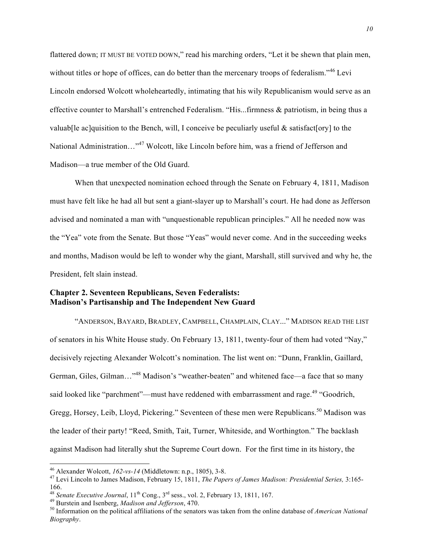flattered down; IT MUST BE VOTED DOWN," read his marching orders, "Let it be shewn that plain men, without titles or hope of offices, can do better than the mercenary troops of federalism.<sup>346</sup> Levi Lincoln endorsed Wolcott wholeheartedly, intimating that his wily Republicanism would serve as an effective counter to Marshall's entrenched Federalism. "His...firmness & patriotism, in being thus a valuab[le ac]quisition to the Bench, will, I conceive be peculiarly useful  $\&$  satisfact[ory] to the National Administration…"<sup>47</sup> Wolcott, like Lincoln before him, was a friend of Jefferson and Madison—a true member of the Old Guard.

When that unexpected nomination echoed through the Senate on February 4, 1811, Madison must have felt like he had all but sent a giant-slayer up to Marshall's court. He had done as Jefferson advised and nominated a man with "unquestionable republican principles." All he needed now was the "Yea" vote from the Senate. But those "Yeas" would never come. And in the succeeding weeks and months, Madison would be left to wonder why the giant, Marshall, still survived and why he, the President, felt slain instead.

## **Chapter 2. Seventeen Republicans, Seven Federalists: Madison's Partisanship and The Independent New Guard**

"ANDERSON, BAYARD, BRADLEY, CAMPBELL, CHAMPLAIN, CLAY..." MADISON READ THE LIST of senators in his White House study. On February 13, 1811, twenty-four of them had voted "Nay," decisively rejecting Alexander Wolcott's nomination. The list went on: "Dunn, Franklin, Gaillard, German, Giles, Gilman..."<sup>48</sup> Madison's "weather-beaten" and whitened face—a face that so many said looked like "parchment"—must have reddened with embarrassment and rage.<sup>49</sup> "Goodrich, Gregg, Horsey, Leib, Lloyd, Pickering." Seventeen of these men were Republicans.<sup>50</sup> Madison was the leader of their party! "Reed, Smith, Tait, Turner, Whiteside, and Worthington." The backlash against Madison had literally shut the Supreme Court down. For the first time in its history, the

 <sup>46</sup> Alexander Wolcott, *162-vs-14* (Middletown: n.p., 1805), 3-8. 47 Levi Lincoln to James Madison, February 15, 1811, *The Papers of James Madison: Presidential Series,* 3:165- 166.<br><sup>48</sup> Senate Executive Journal,  $11^{th}$  Cong.,  $3^{rd}$  sess., vol. 2, February 13, 1811, 167.

<sup>&</sup>lt;sup>49</sup> Burstein and Isenberg, *Madison and Jefferson*, 470.<br><sup>50</sup> Information on the political affiliations of the senators was taken from the online database of *American National Biography*.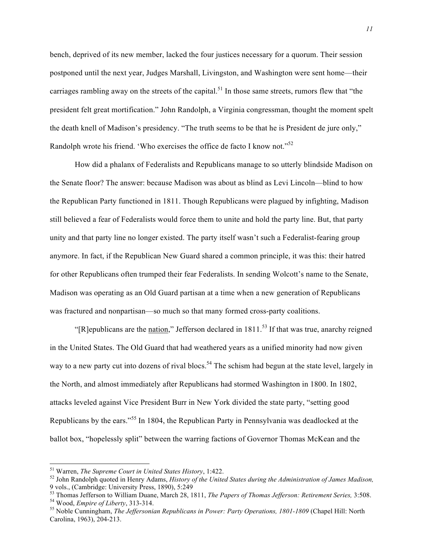bench, deprived of its new member, lacked the four justices necessary for a quorum. Their session postponed until the next year, Judges Marshall, Livingston, and Washington were sent home—their carriages rambling away on the streets of the capital.<sup>51</sup> In those same streets, rumors flew that "the president felt great mortification." John Randolph, a Virginia congressman, thought the moment spelt the death knell of Madison's presidency. "The truth seems to be that he is President de jure only," Randolph wrote his friend. 'Who exercises the office de facto I know not."<sup>52</sup>

How did a phalanx of Federalists and Republicans manage to so utterly blindside Madison on the Senate floor? The answer: because Madison was about as blind as Levi Lincoln—blind to how the Republican Party functioned in 1811. Though Republicans were plagued by infighting, Madison still believed a fear of Federalists would force them to unite and hold the party line. But, that party unity and that party line no longer existed. The party itself wasn't such a Federalist-fearing group anymore. In fact, if the Republican New Guard shared a common principle, it was this: their hatred for other Republicans often trumped their fear Federalists. In sending Wolcott's name to the Senate, Madison was operating as an Old Guard partisan at a time when a new generation of Republicans was fractured and nonpartisan—so much so that many formed cross-party coalitions.

" $[REQ]$ R]epublicans are the nation," Jefferson declared in 1811.<sup>53</sup> If that was true, anarchy reigned in the United States. The Old Guard that had weathered years as a unified minority had now given way to a new party cut into dozens of rival blocs.<sup>54</sup> The schism had begun at the state level, largely in the North, and almost immediately after Republicans had stormed Washington in 1800. In 1802, attacks leveled against Vice President Burr in New York divided the state party, "setting good Republicans by the ears."<sup>55</sup> In 1804, the Republican Party in Pennsylvania was deadlocked at the ballot box, "hopelessly split" between the warring factions of Governor Thomas McKean and the

<sup>&</sup>lt;sup>51</sup> Warren, *The Supreme Court in United States History*, 1:422.<br><sup>52</sup> John Randolph quoted in Henry Adams, *History of the United States during the Administration of James Madison*,<br>9 vols., (Cambridge: University Press,

<sup>&</sup>lt;sup>53</sup> Thomas Jefferson to William Duane, March 28, 1811, *The Papers of Thomas Jefferson: Retirement Series*, 3:508.<br><sup>54</sup> Wood, *Empire of Liberty*, 313-314.<br><sup>55</sup> Noble Cunningham, *The Jeffersonian Republicans in Power: P* 

Carolina, 1963), 204-213.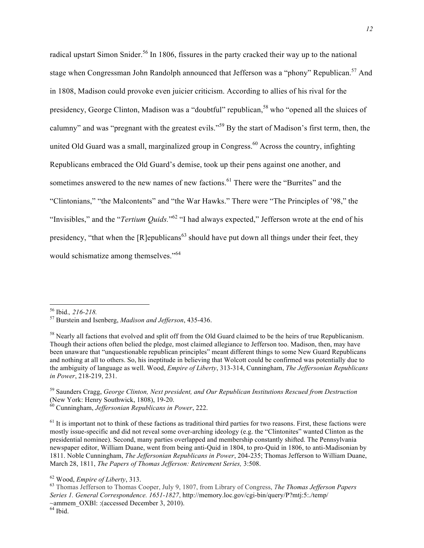radical upstart Simon Snider.<sup>56</sup> In 1806, fissures in the party cracked their way up to the national stage when Congressman John Randolph announced that Jefferson was a "phony" Republican.<sup>57</sup> And in 1808, Madison could provoke even juicier criticism. According to allies of his rival for the presidency, George Clinton, Madison was a "doubtful" republican,<sup>58</sup> who "opened all the sluices of calumny" and was "pregnant with the greatest evils."<sup>59</sup> By the start of Madison's first term, then, the united Old Guard was a small, marginalized group in Congress.<sup>60</sup> Across the country, infighting Republicans embraced the Old Guard's demise, took up their pens against one another, and sometimes answered to the new names of new factions.<sup>61</sup> There were the "Burrites" and the "Clintonians," "the Malcontents" and "the War Hawks." There were "The Principles of '98," the "Invisibles," and the "*Tertium Quids.*" <sup>62</sup> "I had always expected," Jefferson wrote at the end of his presidency, "that when the [R]epublicans<sup>63</sup> should have put down all things under their feet, they would schismatize among themselves."<sup>64</sup>

 <sup>56</sup> Ibid.*, 216-218.* <sup>57</sup> Burstein and Isenberg, *Madison and Jefferson*, 435-436.

<sup>&</sup>lt;sup>58</sup> Nearly all factions that evolved and split off from the Old Guard claimed to be the heirs of true Republicanism. Though their actions often belied the pledge, most claimed allegiance to Jefferson too. Madison, then, may have been unaware that "unquestionable republican principles" meant different things to some New Guard Republicans and nothing at all to others. So, his ineptitude in believing that Wolcott could be confirmed was potentially due to the ambiguity of language as well. Wood, *Empire of Liberty*, 313-314, Cunningham, *The Jeffersonian Republicans in Power*, 218-219, 231.

<sup>59</sup> Saunders Cragg, *George Clinton, Next president, and Our Republican Institutions Rescued from Destruction* (New York: Henry Southwick, 1808), 19-20. 60 Cunningham, *Jeffersonian Republicans in Power*, 222.

 $<sup>61</sup>$  It is important not to think of these factions as traditional third parties for two reasons. First, these factions were</sup> mostly issue-specific and did not reveal some over-arching ideology (e.g. the "Clintonites" wanted Clinton as the presidential nominee). Second, many parties overlapped and membership constantly shifted. The Pennsylvania newspaper editor, William Duane, went from being anti-Quid in 1804, to pro-Quid in 1806, to anti-Madisonian by 1811. Noble Cunningham, *The Jeffersonian Republicans in Power*, 204-235; Thomas Jefferson to William Duane, March 28, 1811, *The Papers of Thomas Jefferson: Retirement Series,* 3:508.

<sup>&</sup>lt;sup>62</sup> Wood, *Empire of Liberty*, 313.<br><sup>63</sup> Thomas Jefferson to Thomas Cooper, July 9, 1807, from Library of Congress, *The Thomas Jefferson Papers Series 1. General Correspondence. 1651-1827*, http://memory.loc.gov/cgi-bin/query/P?mtj:5:./temp/ ~ammem\_OXBl: :(accessed December 3, 2010).  $64$  Ibid.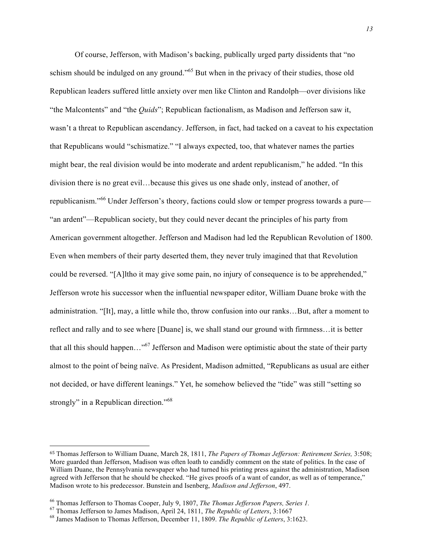Of course, Jefferson, with Madison's backing, publically urged party dissidents that "no schism should be indulged on any ground."<sup>65</sup> But when in the privacy of their studies, those old Republican leaders suffered little anxiety over men like Clinton and Randolph—over divisions like "the Malcontents" and "the *Quids*"; Republican factionalism, as Madison and Jefferson saw it, wasn't a threat to Republican ascendancy. Jefferson, in fact, had tacked on a caveat to his expectation that Republicans would "schismatize." "I always expected, too, that whatever names the parties might bear, the real division would be into moderate and ardent republicanism," he added. "In this division there is no great evil…because this gives us one shade only, instead of another, of republicanism."<sup>66</sup> Under Jefferson's theory, factions could slow or temper progress towards a pure— "an ardent"—Republican society, but they could never decant the principles of his party from American government altogether. Jefferson and Madison had led the Republican Revolution of 1800. Even when members of their party deserted them, they never truly imagined that that Revolution could be reversed. "[A]ltho it may give some pain, no injury of consequence is to be apprehended," Jefferson wrote his successor when the influential newspaper editor, William Duane broke with the administration. "[It], may, a little while tho, throw confusion into our ranks…But, after a moment to reflect and rally and to see where [Duane] is, we shall stand our ground with firmness…it is better that all this should happen…"67 Jefferson and Madison were optimistic about the state of their party almost to the point of being naïve. As President, Madison admitted, "Republicans as usual are either not decided, or have different leanings." Yet, he somehow believed the "tide" was still "setting so strongly" in a Republican direction."<sup>68</sup>

 

<sup>65</sup> Thomas Jefferson to William Duane, March 28, 1811, *The Papers of Thomas Jefferson: Retirement Series,* 3:508; More guarded than Jefferson, Madison was often loath to candidly comment on the state of politics. In the case of William Duane, the Pennsylvania newspaper who had turned his printing press against the administration, Madison agreed with Jefferson that he should be checked. "He gives proofs of a want of candor, as well as of temperance," Madison wrote to his predecessor. Bunstein and Isenberg, *Madison and Jefferson*, 497.

<sup>&</sup>lt;sup>66</sup> Thomas Jefferson to Thomas Cooper, July 9, 1807, *The Thomas Jefferson Papers, Series 1*.<br><sup>67</sup> Thomas Jefferson to James Madison, April 24, 1811, *The Republic of Letters*, 3:1667<br><sup>68</sup> James Madison to Thomas Jeffers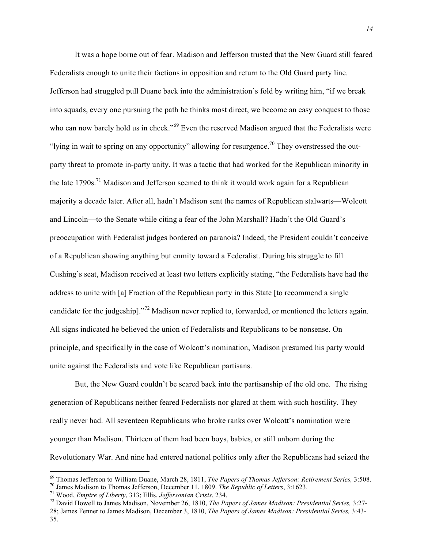It was a hope borne out of fear. Madison and Jefferson trusted that the New Guard still feared Federalists enough to unite their factions in opposition and return to the Old Guard party line. Jefferson had struggled pull Duane back into the administration's fold by writing him, "if we break into squads, every one pursuing the path he thinks most direct, we become an easy conquest to those who can now barely hold us in check."<sup>69</sup> Even the reserved Madison argued that the Federalists were "lying in wait to spring on any opportunity" allowing for resurgence.<sup>70</sup> They overstressed the outparty threat to promote in-party unity. It was a tactic that had worked for the Republican minority in the late 1790s.<sup>71</sup> Madison and Jefferson seemed to think it would work again for a Republican majority a decade later. After all, hadn't Madison sent the names of Republican stalwarts—Wolcott and Lincoln—to the Senate while citing a fear of the John Marshall? Hadn't the Old Guard's preoccupation with Federalist judges bordered on paranoia? Indeed, the President couldn't conceive of a Republican showing anything but enmity toward a Federalist. During his struggle to fill Cushing's seat, Madison received at least two letters explicitly stating, "the Federalists have had the address to unite with [a] Fraction of the Republican party in this State [to recommend a single candidate for the judgeship]."<sup>72</sup> Madison never replied to, forwarded, or mentioned the letters again. All signs indicated he believed the union of Federalists and Republicans to be nonsense. On principle, and specifically in the case of Wolcott's nomination, Madison presumed his party would unite against the Federalists and vote like Republican partisans.

But, the New Guard couldn't be scared back into the partisanship of the old one. The rising generation of Republicans neither feared Federalists nor glared at them with such hostility. They really never had. All seventeen Republicans who broke ranks over Wolcott's nomination were younger than Madison. Thirteen of them had been boys, babies, or still unborn during the Revolutionary War. And nine had entered national politics only after the Republicans had seized the

<sup>&</sup>lt;sup>69</sup> Thomas Jefferson to William Duane, March 28, 1811, *The Papers of Thomas Jefferson: Retirement Series*, 3:508.<br><sup>70</sup> James Madison to Thomas Jefferson, December 11, 1809. *The Republic of Letters*, 3:1623.<br><sup>71</sup> Wood,

<sup>28;</sup> James Fenner to James Madison, December 3, 1810, *The Papers of James Madison: Presidential Series,* 3:43- 35.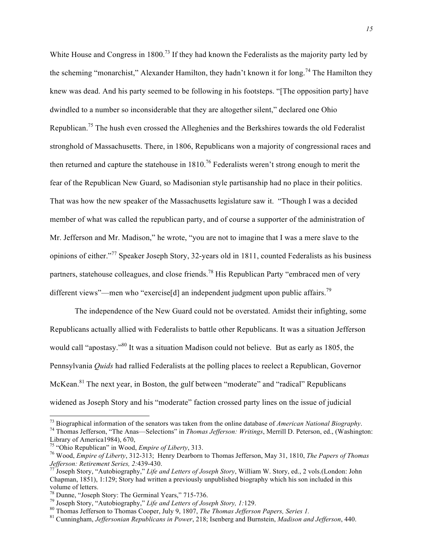White House and Congress in 1800.<sup>73</sup> If they had known the Federalists as the majority party led by the scheming "monarchist," Alexander Hamilton, they hadn't known it for long.<sup>74</sup> The Hamilton they knew was dead. And his party seemed to be following in his footsteps. "[The opposition party] have dwindled to a number so inconsiderable that they are altogether silent," declared one Ohio Republican.<sup>75</sup> The hush even crossed the Alleghenies and the Berkshires towards the old Federalist stronghold of Massachusetts. There, in 1806, Republicans won a majority of congressional races and then returned and capture the statehouse in  $1810$ .<sup>76</sup> Federalists weren't strong enough to merit the fear of the Republican New Guard, so Madisonian style partisanship had no place in their politics. That was how the new speaker of the Massachusetts legislature saw it. "Though I was a decided member of what was called the republican party, and of course a supporter of the administration of Mr. Jefferson and Mr. Madison," he wrote, "you are not to imagine that I was a mere slave to the opinions of either."<sup>77</sup> Speaker Joseph Story, 32-years old in 1811, counted Federalists as his business partners, statehouse colleagues, and close friends.<sup>78</sup> His Republican Party "embraced men of very different views"—men who "exercise<sup>[d]</sup> an independent judgment upon public affairs.<sup>79</sup>

The independence of the New Guard could not be overstated. Amidst their infighting, some Republicans actually allied with Federalists to battle other Republicans. It was a situation Jefferson would call "apostasy."<sup>80</sup> It was a situation Madison could not believe. But as early as 1805, the Pennsylvania *Quids* had rallied Federalists at the polling places to reelect a Republican, Governor McKean.<sup>81</sup> The next year, in Boston, the gulf between "moderate" and "radical" Republicans widened as Joseph Story and his "moderate" faction crossed party lines on the issue of judicial

<sup>&</sup>lt;sup>73</sup> Biographical information of the senators was taken from the online database of *American National Biography*.<br><sup>74</sup> Thomas Jefferson, "The Anas—Selections" in *Thomas Jefferson: Writings*, Merrill D. Peterson, ed., (W Library of America1984), 670,<br><sup>75</sup> "Ohio Republican" in Wood, *Empire of Liberty*, 313.

<sup>&</sup>lt;sup>76</sup> Wood, *Empire of Liberty*, 312-313; Henry Dearborn to Thomas Jefferson, May 31, 1810, *The Papers of Thomas Jefferson: Retirement Series, 2:*439-430. 77 Joseph Story, "Autobiography," *Life and Letters of Joseph Story*, William W. Story, ed., 2 vols.(London: John

Chapman, 1851), 1:129; Story had written a previously unpublished biography which his son included in this volume of letters.<br><sup>78</sup> Dunne, "Joseph Story: The Germinal Years," 715-736.

<sup>&</sup>lt;sup>79</sup> Joseph Story, "Autobiography," Life and Letters of Joseph Story, 1:129.<br><sup>80</sup> Thomas Jefferson to Thomas Cooper, July 9, 1807, *The Thomas Jefferson Papers, Series 1*.<br><sup>81</sup> Cunningham. *Jeffersonian Republicans in Pow*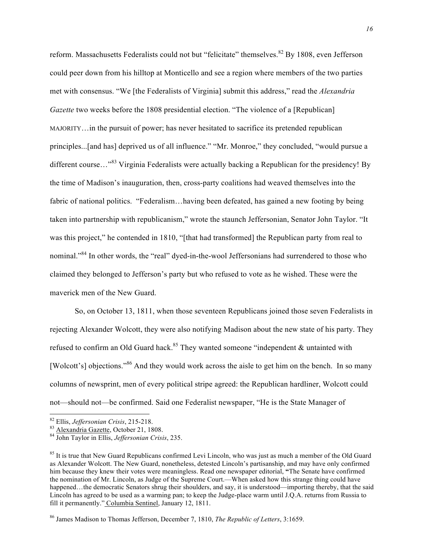reform. Massachusetts Federalists could not but "felicitate" themselves.<sup>82</sup> By 1808, even Jefferson could peer down from his hilltop at Monticello and see a region where members of the two parties met with consensus. "We [the Federalists of Virginia] submit this address," read the *Alexandria Gazette* two weeks before the 1808 presidential election. "The violence of a [Republican] MAJORITY…in the pursuit of power; has never hesitated to sacrifice its pretended republican principles...[and has] deprived us of all influence." "Mr. Monroe," they concluded, "would pursue a different course..."<sup>83</sup> Virginia Federalists were actually backing a Republican for the presidency! By the time of Madison's inauguration, then, cross-party coalitions had weaved themselves into the fabric of national politics. "Federalism…having been defeated, has gained a new footing by being taken into partnership with republicanism," wrote the staunch Jeffersonian, Senator John Taylor. "It was this project," he contended in 1810, "[that had transformed] the Republican party from real to nominal."<sup>84</sup> In other words, the "real" dyed-in-the-wool Jeffersonians had surrendered to those who claimed they belonged to Jefferson's party but who refused to vote as he wished. These were the maverick men of the New Guard.

So, on October 13, 1811, when those seventeen Republicans joined those seven Federalists in rejecting Alexander Wolcott, they were also notifying Madison about the new state of his party. They refused to confirm an Old Guard hack.<sup>85</sup> They wanted someone "independent  $\&$  untainted with [Wolcott's] objections."<sup>86</sup> And they would work across the aisle to get him on the bench. In so many columns of newsprint, men of every political stripe agreed: the Republican hardliner, Wolcott could not—should not—be confirmed. Said one Federalist newspaper, "He is the State Manager of

 <sup>82</sup> Ellis, *Jeffersonian Crisis*, 215-218. 83 Alexandria Gazette, October 21, 1808. 84 John Taylor in Ellis, *Jeffersonian Crisis*, 235.

<sup>&</sup>lt;sup>85</sup> It is true that New Guard Republicans confirmed Levi Lincoln, who was just as much a member of the Old Guard as Alexander Wolcott. The New Guard, nonetheless, detested Lincoln's partisanship, and may have only confirmed him because they knew their votes were meaningless. Read one newspaper editorial, **"**The Senate have confirmed the nomination of Mr. Lincoln, as Judge of the Supreme Court.—When asked how this strange thing could have happened…the democratic Senators shrug their shoulders, and say, it is understood—importing thereby, that the said Lincoln has agreed to be used as a warming pan; to keep the Judge-place warm until J.Q.A. returns from Russia to fill it permanently." Columbia Sentinel, January 12, 1811.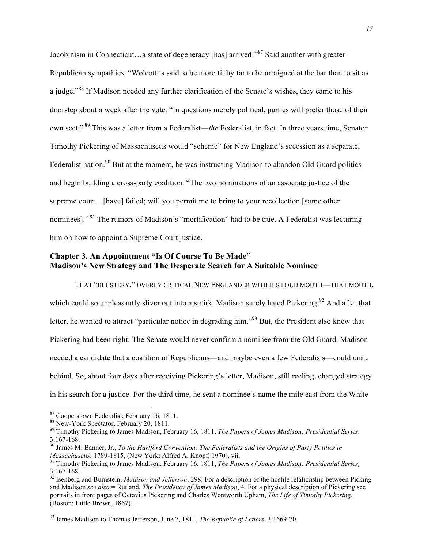Jacobinism in Connecticut...a state of degeneracy [has] arrived!"<sup>87</sup> Said another with greater Republican sympathies, "Wolcott is said to be more fit by far to be arraigned at the bar than to sit as a judge."<sup>88</sup> If Madison needed any further clarification of the Senate's wishes, they came to his doorstep about a week after the vote. "In questions merely political, parties will prefer those of their own sect." <sup>89</sup> This was a letter from a Federalist—*the* Federalist, in fact. In three years time, Senator Timothy Pickering of Massachusetts would "scheme" for New England's secession as a separate, Federalist nation.<sup>90</sup> But at the moment, he was instructing Madison to abandon Old Guard politics and begin building a cross-party coalition. "The two nominations of an associate justice of the supreme court…[have] failed; will you permit me to bring to your recollection [some other nominees]."<sup>91</sup> The rumors of Madison's "mortification" had to be true. A Federalist was lecturing him on how to appoint a Supreme Court justice.

# **Chapter 3. An Appointment "Is Of Course To Be Made" Madison's New Strategy and The Desperate Search for A Suitable Nominee**

THAT "BLUSTERY," OVERLY CRITICAL NEW ENGLANDER WITH HIS LOUD MOUTH—THAT MOUTH, which could so unpleasantly sliver out into a smirk. Madison surely hated Pickering.<sup>92</sup> And after that letter, he wanted to attract "particular notice in degrading him."<sup>93</sup> But, the President also knew that Pickering had been right. The Senate would never confirm a nominee from the Old Guard. Madison needed a candidate that a coalition of Republicans—and maybe even a few Federalists—could unite behind. So, about four days after receiving Pickering's letter, Madison, still reeling, changed strategy in his search for a justice. For the third time, he sent a nominee's name the mile east from the White

<sup>87</sup> Cooperstown Federalist, February 16, 1811.<br><sup>88</sup> New-York Spectator, February 20, 1811.<br><sup>89</sup> Timothy Pickering to James Madison, February 16, 1811, *The Papers of James Madison: Presidential Series,* 3:167-168.<br><sup>90</sup> James M. Banner, Jr., *To the Hartford Convention: The Federalists and the Origins of Party Politics in* 

*Massachusetts,* 1789-1815, (New York: Alfred A. Knopf, 1970), vii.<br><sup>91</sup> Timothy Pickering to James Madison, February 16, 1811, *The Papers of James Madison: Presidential Series,* 

<sup>3:167-168.</sup> <sup>92</sup> Isenberg and Burnstein, *Madison and Jefferson*, 298; For a description of the hostile relationship between Picking

and Madison *see also* = Rutland, *The Presidency of James Madison*, 4. For a physical description of Pickering see portraits in front pages of Octavius Pickering and Charles Wentworth Upham, *The Life of Timothy Pickering*, (Boston: Little Brown, 1867).

<sup>93</sup> James Madison to Thomas Jefferson, June 7, 1811, *The Republic of Letters*, 3:1669-70.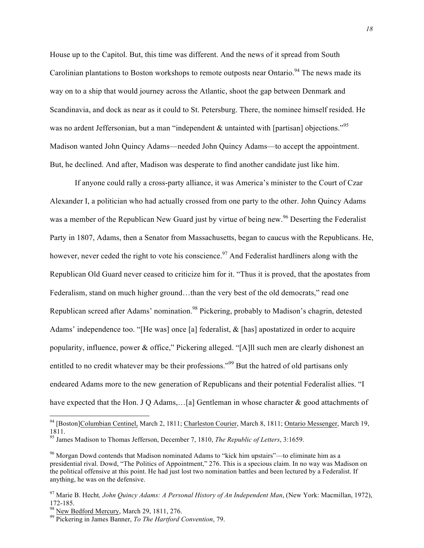House up to the Capitol. But, this time was different. And the news of it spread from South Carolinian plantations to Boston workshops to remote outposts near Ontario.<sup>94</sup> The news made its way on to a ship that would journey across the Atlantic, shoot the gap between Denmark and Scandinavia, and dock as near as it could to St. Petersburg. There, the nominee himself resided. He was no ardent Jeffersonian, but a man "independent & untainted with [partisan] objections."<sup>95</sup> Madison wanted John Quincy Adams—needed John Quincy Adams—to accept the appointment. But, he declined. And after, Madison was desperate to find another candidate just like him.

If anyone could rally a cross-party alliance, it was America's minister to the Court of Czar Alexander I, a politician who had actually crossed from one party to the other. John Quincy Adams was a member of the Republican New Guard just by virtue of being new.<sup>96</sup> Deserting the Federalist Party in 1807, Adams, then a Senator from Massachusetts, began to caucus with the Republicans. He, however, never ceded the right to vote his conscience.<sup>97</sup> And Federalist hardliners along with the Republican Old Guard never ceased to criticize him for it. "Thus it is proved, that the apostates from Federalism, stand on much higher ground...than the very best of the old democrats," read one Republican screed after Adams' nomination.<sup>98</sup> Pickering, probably to Madison's chagrin, detested Adams' independence too. "[He was] once [a] federalist, & [has] apostatized in order to acquire popularity, influence, power & office," Pickering alleged. "[A]ll such men are clearly dishonest an entitled to no credit whatever may be their professions."<sup>99</sup> But the hatred of old partisans only endeared Adams more to the new generation of Republicans and their potential Federalist allies. "I have expected that the Hon. J Q Adams,...[a] Gentleman in whose character & good attachments of

 <sup>94</sup> [Boston]Columbian Centinel, March 2, 1811; Charleston Courier, March 8, 1811; Ontario Messenger, March 19, 1811.

<sup>95</sup> James Madison to Thomas Jefferson, December 7, 1810, *The Republic of Letters*, 3:1659.

<sup>96</sup> Morgan Dowd contends that Madison nominated Adams to "kick him upstairs"—to eliminate him as a presidential rival. Dowd, "The Politics of Appointment," 276. This is a specious claim. In no way was Madison on the political offensive at this point. He had just lost two nomination battles and been lectured by a Federalist. If anything, he was on the defensive.

<sup>97</sup> Marie B. Hecht*, John Quincy Adams: A Personal History of An Independent Man*, (New York: Macmillan, 1972),

<sup>&</sup>lt;sup>98</sup> New Bedford Mercury, March 29, 1811, 276.<br><sup>99</sup> Pickering in James Banner, *To The Hartford Convention*, 79.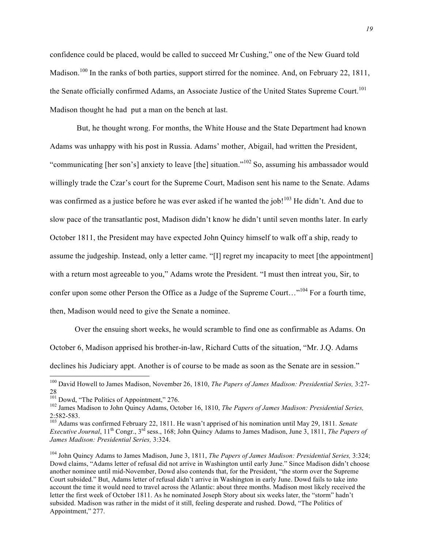confidence could be placed, would be called to succeed Mr Cushing," one of the New Guard told Madison.<sup>100</sup> In the ranks of both parties, support stirred for the nominee. And, on February 22, 1811, the Senate officially confirmed Adams, an Associate Justice of the United States Supreme Court.<sup>101</sup> Madison thought he had put a man on the bench at last.

But, he thought wrong. For months, the White House and the State Department had known Adams was unhappy with his post in Russia. Adams' mother, Abigail, had written the President, "communicating [her son's] anxiety to leave [the] situation."<sup>102</sup> So, assuming his ambassador would willingly trade the Czar's court for the Supreme Court, Madison sent his name to the Senate. Adams was confirmed as a justice before he was ever asked if he wanted the job!<sup>103</sup> He didn't. And due to slow pace of the transatlantic post, Madison didn't know he didn't until seven months later. In early October 1811, the President may have expected John Quincy himself to walk off a ship, ready to assume the judgeship. Instead, only a letter came. "[I] regret my incapacity to meet [the appointment] with a return most agreeable to you," Adams wrote the President. "I must then intreat you, Sir, to confer upon some other Person the Office as a Judge of the Supreme Court..."<sup>104</sup> For a fourth time, then, Madison would need to give the Senate a nominee.

Over the ensuing short weeks, he would scramble to find one as confirmable as Adams. On October 6, Madison apprised his brother-in-law, Richard Cutts of the situation, "Mr. J.Q. Adams declines his Judiciary appt. Another is of course to be made as soon as the Senate are in session."

 <sup>100</sup> David Howell to James Madison, November 26, 1810, *The Papers of James Madison: Presidential Series,* 3:27-  $^{28}_{101}$  Dowd, "The Politics of Appointment," 276.

<sup>&</sup>lt;sup>102</sup> James Madison to John Quincy Adams, October 16, 1810, *The Papers of James Madison: Presidential Series,* 2:582-583. <sup>103</sup> Adams was confirmed February 22, 1811. He wasn't apprised of his nomination until May 29, 1811*. Senate* 

*Executive Journal*, 11th Congr., 3rd sess., 168; John Quincy Adams to James Madison, June 3, 1811, *The Papers of James Madison: Presidential Series,* 3:324.

<sup>104</sup> John Quincy Adams to James Madison, June 3, 1811, *The Papers of James Madison: Presidential Series,* 3:324; Dowd claims, "Adams letter of refusal did not arrive in Washington until early June." Since Madison didn't choose another nominee until mid-November, Dowd also contends that, for the President, "the storm over the Supreme Court subsided." But, Adams letter of refusal didn't arrive in Washington in early June. Dowd fails to take into account the time it would need to travel across the Atlantic: about three months. Madison most likely received the letter the first week of October 1811. As he nominated Joseph Story about six weeks later, the "storm" hadn't subsided. Madison was rather in the midst of it still, feeling desperate and rushed. Dowd, "The Politics of Appointment," 277.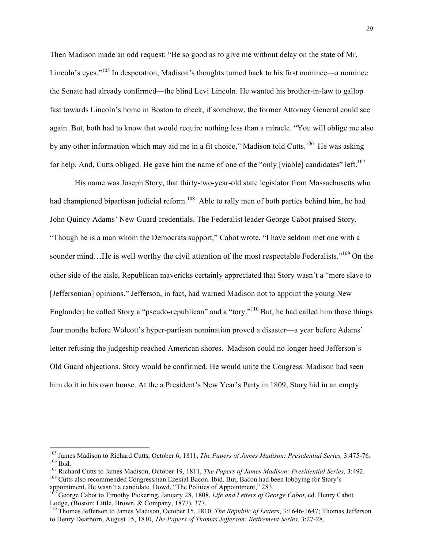Then Madison made an odd request: "Be so good as to give me without delay on the state of Mr. Lincoln's eyes."<sup>105</sup> In desperation, Madison's thoughts turned back to his first nominee—a nominee the Senate had already confirmed—the blind Levi Lincoln. He wanted his brother-in-law to gallop fast towards Lincoln's home in Boston to check, if somehow, the former Attorney General could see again. But, both had to know that would require nothing less than a miracle. "You will oblige me also by any other information which may aid me in a fit choice," Madison told Cutts.<sup>106</sup> He was asking for help. And, Cutts obliged. He gave him the name of one of the "only [viable] candidates" left.<sup>107</sup>

His name was Joseph Story, that thirty-two-year-old state legislator from Massachusetts who had championed bipartisan judicial reform.<sup>108</sup> Able to rally men of both parties behind him, he had John Quincy Adams' New Guard credentials. The Federalist leader George Cabot praised Story. "Though he is a man whom the Democrats support," Cabot wrote, "I have seldom met one with a sounder mind...He is well worthy the civil attention of the most respectable Federalists."<sup>109</sup> On the other side of the aisle, Republican mavericks certainly appreciated that Story wasn't a "mere slave to [Jeffersonian] opinions." Jefferson, in fact, had warned Madison not to appoint the young New Englander; he called Story a "pseudo-republican" and a "tory."<sup>110</sup> But, he had called him those things four months before Wolcott's hyper-partisan nomination proved a disaster—a year before Adams' letter refusing the judgeship reached American shores. Madison could no longer heed Jefferson's Old Guard objections. Story would be confirmed. He would unite the Congress. Madison had seen him do it in his own house. At the a President's New Year's Party in 1809, Story hid in an empty

<sup>&</sup>lt;sup>105</sup> James Madison to Richard Cutts, October 6, 1811, *The Papers of James Madison: Presidential Series*, 3:475-76.<br><sup>106</sup> Ibid.<br><sup>107</sup> Richard Cutts to James Madison, October 19, 1811, *The Papers of James Madison: Presid* 

<sup>&</sup>lt;sup>109</sup> George Cabot to Timothy Pickering, January 28, 1808, *Life and Letters of George Cabot*, ed. Henry Cabot Lodge, (Boston: Little, Brown, & Company, 1877), 377.

<sup>&</sup>lt;sup>110</sup> Thomas Jefferson to James Madison, October 15, 1810, *The Republic of Letters*, 3:1646-1647; Thomas Jefferson to Henry Dearborn, August 15, 1810, *The Papers of Thomas Jefferson: Retirement Series,* 3:27-28.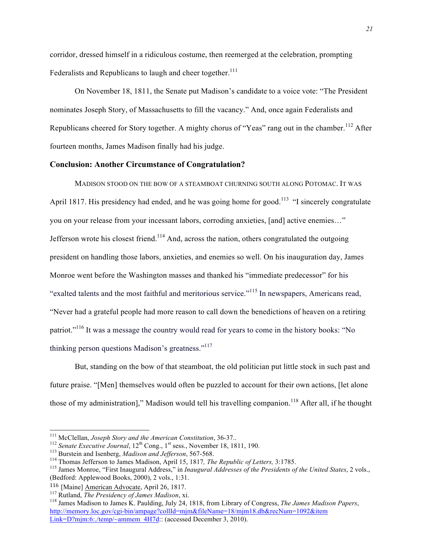corridor, dressed himself in a ridiculous costume, then reemerged at the celebration, prompting Federalists and Republicans to laugh and cheer together.<sup>111</sup>

On November 18, 1811, the Senate put Madison's candidate to a voice vote: "The President nominates Joseph Story, of Massachusetts to fill the vacancy." And, once again Federalists and Republicans cheered for Story together. A mighty chorus of "Yeas" rang out in the chamber.<sup>112</sup> After fourteen months, James Madison finally had his judge.

#### **Conclusion: Another Circumstance of Congratulation?**

MADISON STOOD ON THE BOW OF A STEAMBOAT CHURNING SOUTH ALONG POTOMAC. IT WAS April 1817. His presidency had ended, and he was going home for good.<sup>113</sup> "I sincerely congratulate you on your release from your incessant labors, corroding anxieties, [and] active enemies…" Jefferson wrote his closest friend.<sup>114</sup> And, across the nation, others congratulated the outgoing president on handling those labors, anxieties, and enemies so well. On his inauguration day, James Monroe went before the Washington masses and thanked his "immediate predecessor" for his "exalted talents and the most faithful and meritorious service."<sup>115</sup> In newspapers, Americans read, "Never had a grateful people had more reason to call down the benedictions of heaven on a retiring patriot."<sup>116</sup> It was a message the country would read for years to come in the history books: "No thinking person questions Madison's greatness."<sup>117</sup>

But, standing on the bow of that steamboat, the old politician put little stock in such past and future praise. "[Men] themselves would often be puzzled to account for their own actions, [let alone those of my administration]," Madison would tell his travelling companion.<sup>118</sup> After all, if he thought

<sup>&</sup>lt;sup>111</sup> McClellan, *Joseph Story and the American Constitution*, 36-37..<br><sup>112</sup> Senate Executive Journal, 12<sup>th</sup> Cong., 1<sup>st</sup> sess., November 18, 1811, 190.<br><sup>113</sup> Burstein and Isenberg, *Madison and Jefferson*, 567-568.<br><sup>114</sup> (Bedford: Applewood Books, 2000), 2 vols., 1:31.

<sup>&</sup>lt;sup>116</sup> [Maine] American Advocate, April 26, 1817.<br><sup>117</sup> Rutland, *The Presidency of James Madison*, xi.

<sup>&</sup>lt;sup>118</sup> James Madison to James K. Paulding, July 24, 1818, from Library of Congress, *The James Madison Papers*, http://memory.loc.gov/cgi-bin/ampage?collId=mjm&fileName=18/mjm18.db&recNum=1092&item Link=D?mjm:6:/temp/~ammem\_4H7d:: (accessed December 3, 2010).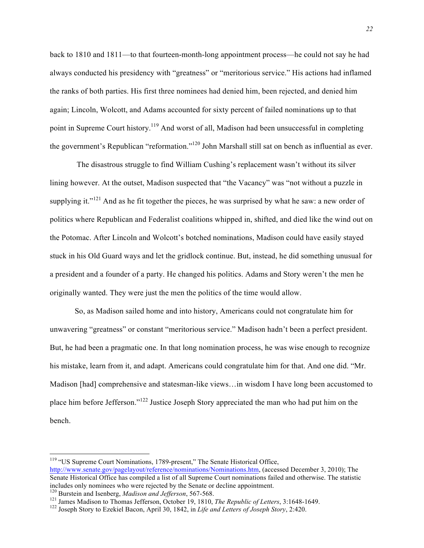back to 1810 and 1811—to that fourteen-month-long appointment process—he could not say he had always conducted his presidency with "greatness" or "meritorious service." His actions had inflamed the ranks of both parties. His first three nominees had denied him, been rejected, and denied him again; Lincoln, Wolcott, and Adams accounted for sixty percent of failed nominations up to that point in Supreme Court history.<sup>119</sup> And worst of all, Madison had been unsuccessful in completing the government's Republican "reformation."<sup>120</sup> John Marshall still sat on bench as influential as ever.

The disastrous struggle to find William Cushing's replacement wasn't without its silver lining however. At the outset, Madison suspected that "the Vacancy" was "not without a puzzle in supplying it." $121$  And as he fit together the pieces, he was surprised by what he saw: a new order of politics where Republican and Federalist coalitions whipped in, shifted, and died like the wind out on the Potomac. After Lincoln and Wolcott's botched nominations, Madison could have easily stayed stuck in his Old Guard ways and let the gridlock continue. But, instead, he did something unusual for a president and a founder of a party. He changed his politics. Adams and Story weren't the men he originally wanted. They were just the men the politics of the time would allow.

So, as Madison sailed home and into history, Americans could not congratulate him for unwavering "greatness" or constant "meritorious service." Madison hadn't been a perfect president. But, he had been a pragmatic one. In that long nomination process, he was wise enough to recognize his mistake, learn from it, and adapt. Americans could congratulate him for that. And one did. "Mr. Madison [had] comprehensive and statesman-like views…in wisdom I have long been accustomed to place him before Jefferson."<sup>122</sup> Justice Joseph Story appreciated the man who had put him on the bench.

<sup>&</sup>lt;sup>119</sup> "US Supreme Court Nominations, 1789-present," The Senate Historical Office, http://www.senate.gov/pagelayout/reference/nominations/Nominations.htm, (accessed December 3, 2010); The Senate Historical Office has compiled a list of all Supreme Court nominations failed and otherwise. The statistic includes only nominees who were rejected by the Senate or decline appointment.<br><sup>120</sup> Burstein and Isenberg, *Madison and Jefferson*, 567-568.

<sup>&</sup>lt;sup>121</sup> James Madison to Thomas Jefferson, October 19, 1810, *The Republic of Letters*, 3:1648-1649.<br><sup>122</sup> Joseph Story to Ezekiel Bacon, April 30, 1842, in *Life and Letters of Joseph Story*, 2:420.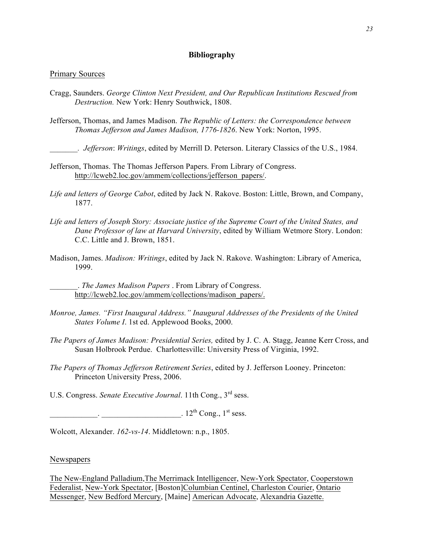## **Bibliography**

#### Primary Sources

- Cragg, Saunders. *George Clinton Next President, and Our Republican Institutions Rescued from Destruction.* New York: Henry Southwick, 1808.
- Jefferson, Thomas, and James Madison. *The Republic of Letters: the Correspondence between Thomas Jefferson and James Madison, 1776-1826*. New York: Norton, 1995.
	- \_\_\_\_\_\_\_*. Jefferson*: *Writings*, edited by Merrill D. Peterson. Literary Classics of the U.S., 1984.
- Jefferson, Thomas. The Thomas Jefferson Papers. From Library of Congress. http://lcweb2.loc.gov/ammem/collections/jefferson\_papers/.
- *Life and letters of George Cabot*, edited by Jack N. Rakove. Boston: Little, Brown, and Company, 1877.
- *Life and letters of Joseph Story: Associate justice of the Supreme Court of the United States, and Dane Professor of law at Harvard University*, edited by William Wetmore Story. London: C.C. Little and J. Brown, 1851.
- Madison, James. *Madison: Writings*, edited by Jack N. Rakove. Washington: Library of America, 1999.

\_\_\_\_\_\_\_. *The James Madison Papers* . From Library of Congress. http://lcweb2.loc.gov/ammem/collections/madison\_papers/.

- *Monroe, James. "First Inaugural Address." Inaugural Addresses of the Presidents of the United States Volume I*. 1st ed. Applewood Books, 2000.
- *The Papers of James Madison: Presidential Series,* edited by J. C. A. Stagg, Jeanne Kerr Cross, and Susan Holbrook Perdue. Charlottesville: University Press of Virginia, 1992.
- *The Papers of Thomas Jefferson Retirement Series*, edited by J. Jefferson Looney. Princeton: Princeton University Press, 2006.

U.S. Congress. *Senate Executive Journal*. 11th Cong., 3rd sess.

 $12^{th}$  Cong.,  $1^{st}$  sess.

Wolcott, Alexander. *162-vs-14*. Middletown: n.p., 1805.

#### Newspapers

The New-England Palladium,The Merrimack Intelligencer, New-York Spectator, Cooperstown Federalist, New-York Spectator, [Boston]Columbian Centinel, Charleston Courier, Ontario Messenger, New Bedford Mercury, [Maine] American Advocate, Alexandria Gazette.